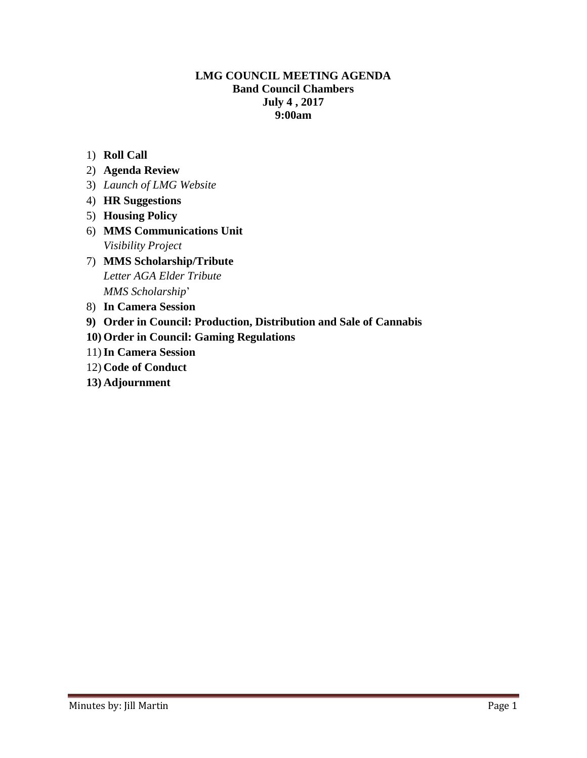# **LMG COUNCIL MEETING AGENDA Band Council Chambers July 4 , 2017 9:00am**

- 1) **Roll Call**
- 2) **Agenda Review**
- 3) *Launch of LMG Website*
- 4) **HR Suggestions**
- 5) **Housing Policy**
- 6) **MMS Communications Unit** *Visibility Project*
- 7) **MMS Scholarship/Tribute** *Letter AGA Elder Tribute MMS Scholarship*'
- 8) **In Camera Session**
- **9) Order in Council: Production, Distribution and Sale of Cannabis**
- **10) Order in Council: Gaming Regulations**
- 11)**In Camera Session**
- 12) **Code of Conduct**
- **13) Adjournment**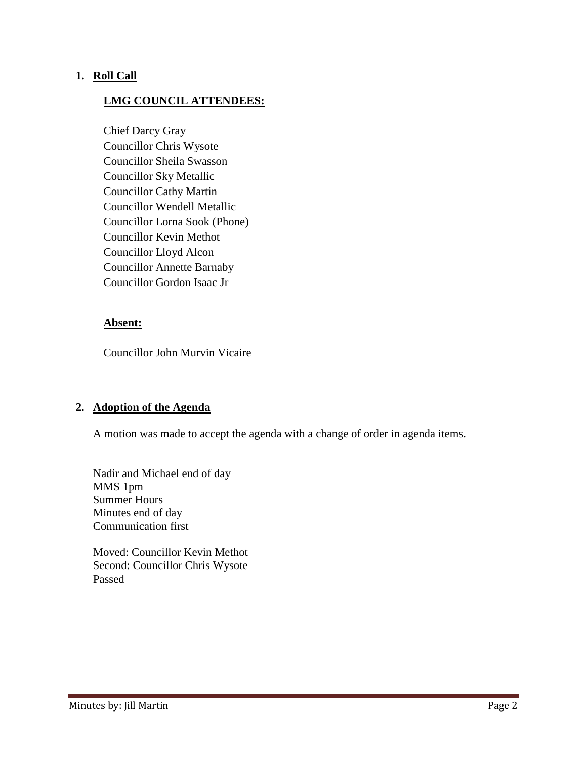# **1. Roll Call**

### **LMG COUNCIL ATTENDEES:**

Chief Darcy Gray Councillor Chris Wysote Councillor Sheila Swasson Councillor Sky Metallic Councillor Cathy Martin Councillor Wendell Metallic Councillor Lorna Sook (Phone) Councillor Kevin Methot Councillor Lloyd Alcon Councillor Annette Barnaby Councillor Gordon Isaac Jr

#### **Absent:**

Councillor John Murvin Vicaire

#### **2. Adoption of the Agenda**

A motion was made to accept the agenda with a change of order in agenda items.

Nadir and Michael end of day MMS 1pm Summer Hours Minutes end of day Communication first

Moved: Councillor Kevin Methot Second: Councillor Chris Wysote Passed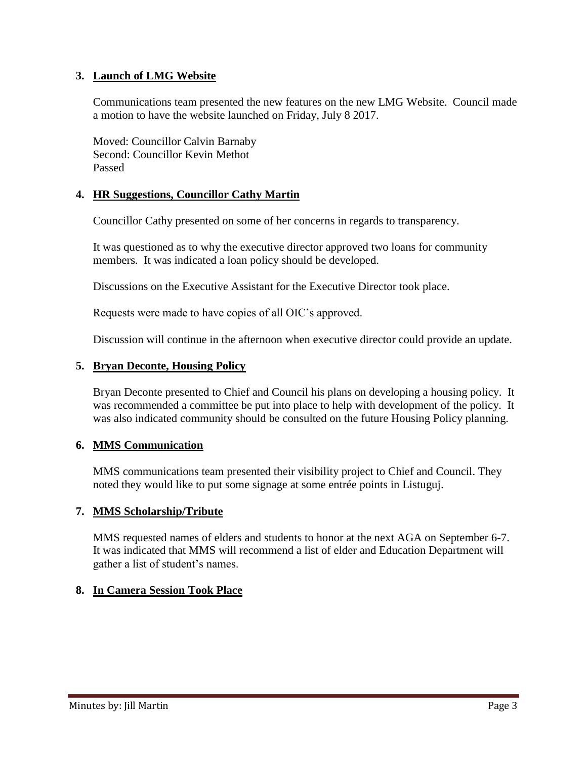# **3. Launch of LMG Website**

Communications team presented the new features on the new LMG Website. Council made a motion to have the website launched on Friday, July 8 2017.

Moved: Councillor Calvin Barnaby Second: Councillor Kevin Methot Passed

# **4. HR Suggestions, Councillor Cathy Martin**

Councillor Cathy presented on some of her concerns in regards to transparency.

It was questioned as to why the executive director approved two loans for community members. It was indicated a loan policy should be developed.

Discussions on the Executive Assistant for the Executive Director took place.

Requests were made to have copies of all OIC's approved.

Discussion will continue in the afternoon when executive director could provide an update.

# **5. Bryan Deconte, Housing Policy**

Bryan Deconte presented to Chief and Council his plans on developing a housing policy. It was recommended a committee be put into place to help with development of the policy. It was also indicated community should be consulted on the future Housing Policy planning.

# **6. MMS Communication**

MMS communications team presented their visibility project to Chief and Council. They noted they would like to put some signage at some entrée points in Listuguj.

# **7. MMS Scholarship/Tribute**

MMS requested names of elders and students to honor at the next AGA on September 6-7. It was indicated that MMS will recommend a list of elder and Education Department will gather a list of student's names.

# **8. In Camera Session Took Place**